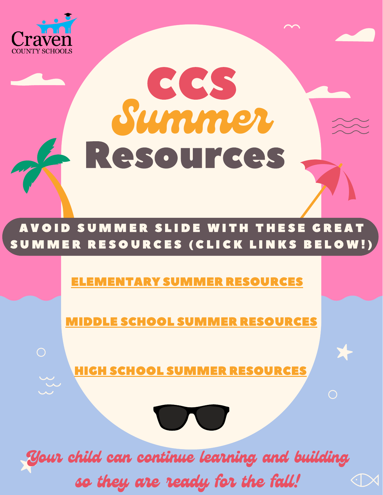

 $\bigcap$ 

## CCS Summer Resources

## AVOID SUMMER SLIDE WITH THESE GREAT SUMMER RESOURCES (CLICK LINKS BELOW!

## EMENTARY SUMMER RESOURCES

MIDDLE SCHOOL SUMMER [RESOURCES](https://docs.google.com/document/d/1mhqNKlXBncOwRBNk6lXh46FvmCaClVUUOz6O0-oj8-U/edit)

HIGH SCHOOL SUMMER [RESOURCES](https://docs.google.com/document/d/1WNHJ3vgbT_j6XIghnXnQRXOK9UBzqve_b__fXDNe3wY/edit)



Your child can continue learning and building so they are ready for the fall! $\langle \cdot | \times$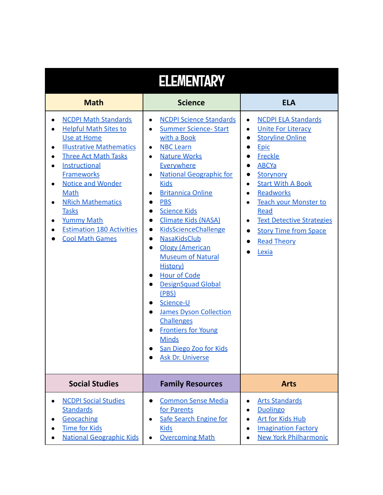| <b>ELEMENTARY</b>                                                                                                                                                                                                                                                                                                                                                         |                                                                                                                                                                                                                                                                                                                                                                                                                                                                                                                                                                                                                                                                                                                                                                           |                                                                                                                                                                                                                                                                                                                                                                                                                   |  |  |
|---------------------------------------------------------------------------------------------------------------------------------------------------------------------------------------------------------------------------------------------------------------------------------------------------------------------------------------------------------------------------|---------------------------------------------------------------------------------------------------------------------------------------------------------------------------------------------------------------------------------------------------------------------------------------------------------------------------------------------------------------------------------------------------------------------------------------------------------------------------------------------------------------------------------------------------------------------------------------------------------------------------------------------------------------------------------------------------------------------------------------------------------------------------|-------------------------------------------------------------------------------------------------------------------------------------------------------------------------------------------------------------------------------------------------------------------------------------------------------------------------------------------------------------------------------------------------------------------|--|--|
| <b>Math</b>                                                                                                                                                                                                                                                                                                                                                               | <b>Science</b>                                                                                                                                                                                                                                                                                                                                                                                                                                                                                                                                                                                                                                                                                                                                                            | <b>ELA</b>                                                                                                                                                                                                                                                                                                                                                                                                        |  |  |
| <b>NCDPI Math Standards</b><br>$\bullet$<br><b>Helpful Math Sites to</b><br>Use at Home<br><b>Illustrative Mathematics</b><br><b>Three Act Math Tasks</b><br>Instructional<br><b>Frameworks</b><br><b>Notice and Wonder</b><br><b>Math</b><br><b>NRich Mathematics</b><br><b>Tasks</b><br><b>Yummy Math</b><br><b>Estimation 180 Activities</b><br><b>Cool Math Games</b> | <b>NCDPI Science Standards</b><br>$\bullet$<br><b>Summer Science- Start</b><br>with a Book<br><b>NBC Learn</b><br>$\bullet$<br><b>Nature Works</b><br>$\bullet$<br><b>Everywhere</b><br><b>National Geographic for</b><br>$\bullet$<br><b>Kids</b><br><b>Britannica Online</b><br>$\bullet$<br><b>PBS</b><br>0<br><b>Science Kids</b><br>●<br><b>Climate Kids (NASA)</b><br>$\bullet$<br>KidsScienceChallenge<br>$\bullet$<br>NasaKidsClub<br>$\bullet$<br><b>Ology (American</b><br>$\bullet$<br><b>Museum of Natural</b><br>History)<br><b>Hour of Code</b><br><b>DesignSquad Global</b><br>(PBS)<br>Science-U<br><b>James Dyson Collection</b><br><b>Challenges</b><br><b>Frontiers for Young</b><br><b>Minds</b><br>San Diego Zoo for Kids<br><b>Ask Dr. Universe</b> | <b>NCDPI ELA Standards</b><br>$\bullet$<br><b>Unite For Literacy</b><br>$\bullet$<br><b>Storyline Online</b><br>Epic<br>$\bullet$<br>Freckle<br><b>ABCYa</b><br>Storynory<br><b>Start With A Book</b><br>$\bullet$<br>Readworks<br>$\bullet$<br><b>Teach your Monster to</b><br>$\bullet$<br>Read<br><b>Text Detective Strategies</b><br>$\bullet$<br><b>Story Time from Space</b><br><b>Read Theory</b><br>Lexia |  |  |
| <b>Social Studies</b>                                                                                                                                                                                                                                                                                                                                                     | <b>Family Resources</b>                                                                                                                                                                                                                                                                                                                                                                                                                                                                                                                                                                                                                                                                                                                                                   | <b>Arts</b>                                                                                                                                                                                                                                                                                                                                                                                                       |  |  |
| <b>NCDPI Social Studies</b><br><b>Standards</b><br>Geocaching<br><b>Time for Kids</b><br><b>National Geographic Kids</b>                                                                                                                                                                                                                                                  | <b>Common Sense Media</b><br>$\bullet$<br>for Parents<br><b>Safe Search Engine for</b><br>$\bullet$<br><b>Kids</b><br><b>Overcoming Math</b>                                                                                                                                                                                                                                                                                                                                                                                                                                                                                                                                                                                                                              | <b>Arts Standards</b><br><b>Duolingo</b><br>Art for Kids Hub<br><b>Imagination Factory</b><br><b>New York Philharmonic</b>                                                                                                                                                                                                                                                                                        |  |  |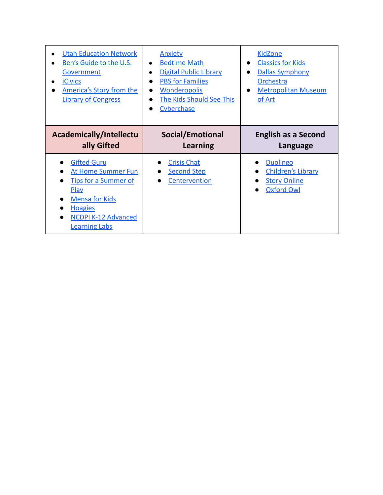| <b>Utah Education Network</b><br>Ben's Guide to the U.S.<br>Government<br><b>iCivics</b><br>America's Story from the<br><b>Library of Congress</b>                                             | <b>Anxiety</b><br><b>Bedtime Math</b><br>$\bullet$<br><b>Digital Public Library</b><br><b>PBS for Families</b><br><b>Wonderopolis</b><br>$\bullet$<br>The Kids Should See This<br>Cyberchase | <b>KidZone</b><br><b>Classics for Kids</b><br><b>Dallas Symphony</b><br><b>Orchestra</b><br><b>Metropolitan Museum</b><br>$\bullet$<br>of Art |
|------------------------------------------------------------------------------------------------------------------------------------------------------------------------------------------------|----------------------------------------------------------------------------------------------------------------------------------------------------------------------------------------------|-----------------------------------------------------------------------------------------------------------------------------------------------|
| <b>Academically/Intellectu</b><br>ally Gifted                                                                                                                                                  | Social/Emotional<br><b>Learning</b>                                                                                                                                                          | <b>English as a Second</b><br>Language                                                                                                        |
| <b>Gifted Guru</b><br><b>At Home Summer Fun</b><br><b>Tips for a Summer of</b><br><b>Play</b><br><b>Mensa for Kids</b><br><b>Hoagies</b><br><b>NCDPI K-12 Advanced</b><br><b>Learning Labs</b> | <b>Crisis Chat</b><br><b>Second Step</b><br>Centervention                                                                                                                                    | <b>Duolingo</b><br><b>Children's Library</b><br><b>Story Online</b><br><b>Oxford Owl</b>                                                      |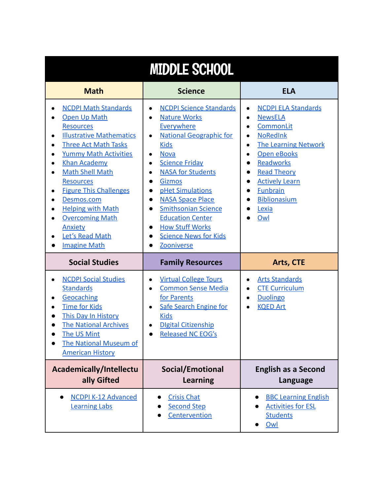| <b>MIDDLE SCHOOL</b>                                                                                                                                                                                                                                                                                                                                                                                                                                                                               |                                                                                                                                                                                                                                                                                                                                                                                                                                                                          |                                                                                                                                                                                                                                                                                                                          |  |
|----------------------------------------------------------------------------------------------------------------------------------------------------------------------------------------------------------------------------------------------------------------------------------------------------------------------------------------------------------------------------------------------------------------------------------------------------------------------------------------------------|--------------------------------------------------------------------------------------------------------------------------------------------------------------------------------------------------------------------------------------------------------------------------------------------------------------------------------------------------------------------------------------------------------------------------------------------------------------------------|--------------------------------------------------------------------------------------------------------------------------------------------------------------------------------------------------------------------------------------------------------------------------------------------------------------------------|--|
| <b>Math</b>                                                                                                                                                                                                                                                                                                                                                                                                                                                                                        | <b>Science</b>                                                                                                                                                                                                                                                                                                                                                                                                                                                           | <b>ELA</b>                                                                                                                                                                                                                                                                                                               |  |
| <b>NCDPI Math Standards</b><br>Open Up Math<br><b>Resources</b><br><b>Illustrative Mathematics</b><br>$\bullet$<br><b>Three Act Math Tasks</b><br>$\bullet$<br><b>Yummy Math Activities</b><br><b>Khan Academy</b><br>$\bullet$<br><b>Math Shell Math</b><br><b>Resources</b><br><b>Figure This Challenges</b><br>$\bullet$<br>Desmos.com<br>$\bullet$<br><b>Helping with Math</b><br>$\bullet$<br><b>Overcoming Math</b><br>$\bullet$<br><b>Anxiety</b><br>Let's Read Math<br><b>Imagine Math</b> | <b>NCDPI Science Standards</b><br><b>Nature Works</b><br>$\bullet$<br><b>Everywhere</b><br><b>National Geographic for</b><br>$\bullet$<br><b>Kids</b><br><b>Nova</b><br>$\bullet$<br><b>Science Friday</b><br>$\bullet$<br><b>NASA for Students</b><br><b>Gizmos</b><br>pHet Simulations<br><b>NASA Space Place</b><br><b>Smithsonian Science</b><br><b>Education Center</b><br><b>How Stuff Works</b><br>$\bullet$<br><b>Science News for Kids</b><br><b>Zooniverse</b> | <b>NCDPI ELA Standards</b><br>$\bullet$<br><b>NewsELA</b><br>$\bullet$<br>CommonLit<br>$\bullet$<br><b>NoRedInk</b><br>$\bullet$<br><b>The Learning Network</b><br>$\bullet$<br><b>Open eBooks</b><br>Readworks<br><b>Read Theory</b><br><b>Actively Learn</b><br><b>Funbrain</b><br><b>Biblionasium</b><br>Lexia<br>Owl |  |
| <b>Social Studies</b>                                                                                                                                                                                                                                                                                                                                                                                                                                                                              | <b>Family Resources</b>                                                                                                                                                                                                                                                                                                                                                                                                                                                  | Arts, CTE                                                                                                                                                                                                                                                                                                                |  |
| <b>NCDPI Social Studies</b><br><b>Standards</b><br>Geocaching<br>$\bullet$<br><b>Time for Kids</b><br>This Day In History<br><b>The National Archives</b><br>The US Mint<br><b>The National Museum of</b><br><b>American History</b>                                                                                                                                                                                                                                                               | <b>Virtual College Tours</b><br>$\bullet$<br><b>Common Sense Media</b><br>for Parents<br><b>Safe Search Engine for</b><br>$\bullet$<br><b>Kids</b><br><b>Digital Citizenship</b><br><b>Released NC EOG's</b>                                                                                                                                                                                                                                                             | <b>Arts Standards</b><br>$\bullet$<br><b>CTE Curriculum</b><br><b>Duolingo</b><br>$\bullet$<br><b>KQED Art</b>                                                                                                                                                                                                           |  |
| Academically/Intellectu<br>ally Gifted                                                                                                                                                                                                                                                                                                                                                                                                                                                             | Social/Emotional<br><b>Learning</b>                                                                                                                                                                                                                                                                                                                                                                                                                                      | <b>English as a Second</b><br>Language                                                                                                                                                                                                                                                                                   |  |
| <b>NCDPI K-12 Advanced</b><br><b>Learning Labs</b>                                                                                                                                                                                                                                                                                                                                                                                                                                                 | <b>Crisis Chat</b><br><b>Second Step</b><br>Centervention                                                                                                                                                                                                                                                                                                                                                                                                                | <b>BBC Learning English</b><br><b>Activities for ESL</b><br><b>Students</b><br>Owl                                                                                                                                                                                                                                       |  |